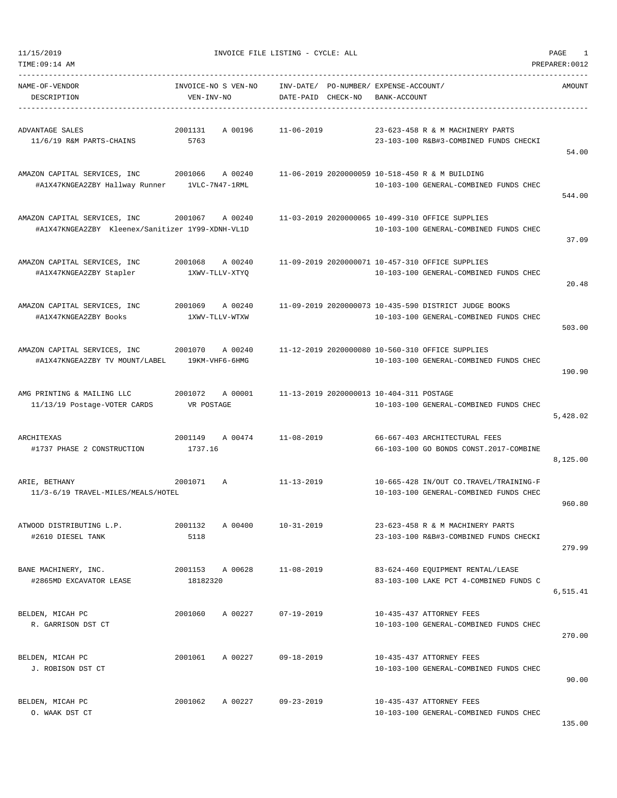| TIME:09:14 AM                                                                    |                                      |                                                             |                                                                                                 | PREPARER: 0012 |
|----------------------------------------------------------------------------------|--------------------------------------|-------------------------------------------------------------|-------------------------------------------------------------------------------------------------|----------------|
| NAME-OF-VENDOR<br>DESCRIPTION                                                    | INVOICE-NO S VEN-NO<br>VEN-INV-NO    | INV-DATE/ PO-NUMBER/ EXPENSE-ACCOUNT/<br>DATE-PAID CHECK-NO | BANK-ACCOUNT                                                                                    | AMOUNT         |
| ADVANTAGE SALES<br>11/6/19 R&M PARTS-CHAINS                                      | 2001131<br>A 00196<br>5763           | 11-06-2019                                                  | 23-623-458 R & M MACHINERY PARTS<br>23-103-100 R&B#3-COMBINED FUNDS CHECKI                      | 54.00          |
| AMAZON CAPITAL SERVICES, INC<br>#A1X47KNGEA2ZBY Hallway Runner                   | 2001066<br>A 00240<br>1VLC-7N47-1RML |                                                             | 11-06-2019 2020000059 10-518-450 R & M BUILDING<br>10-103-100 GENERAL-COMBINED FUNDS CHEC       | 544.00         |
| AMAZON CAPITAL SERVICES, INC<br>#A1X47KNGEA2ZBY Kleenex/Sanitizer 1Y99-XDNH-VL1D | 2001067<br>A 00240                   |                                                             | 11-03-2019 2020000065 10-499-310 OFFICE SUPPLIES<br>10-103-100 GENERAL-COMBINED FUNDS CHEC      | 37.09          |
| AMAZON CAPITAL SERVICES, INC<br>#A1X47KNGEA2ZBY Stapler                          | 2001068<br>A 00240<br>1XWV-TLLV-XTYQ |                                                             | 11-09-2019 2020000071 10-457-310 OFFICE SUPPLIES<br>10-103-100 GENERAL-COMBINED FUNDS CHEC      | 20.48          |
| AMAZON CAPITAL SERVICES, INC<br>#A1X47KNGEA2ZBY Books                            | 2001069<br>A 00240<br>1XWV-TLLV-WTXW |                                                             | 11-09-2019 2020000073 10-435-590 DISTRICT JUDGE BOOKS<br>10-103-100 GENERAL-COMBINED FUNDS CHEC | 503.00         |
| AMAZON CAPITAL SERVICES, INC<br>#A1X47KNGEA2ZBY TV MOUNT/LABEL                   | 2001070<br>A 00240<br>19KM-VHF6-6HMG |                                                             | 11-12-2019 2020000080 10-560-310 OFFICE SUPPLIES<br>10-103-100 GENERAL-COMBINED FUNDS CHEC      | 190.90         |
| AMG PRINTING & MAILING LLC<br>11/13/19 Postage-VOTER CARDS                       | 2001072<br>A 00001<br>VR POSTAGE     | 11-13-2019 2020000013 10-404-311 POSTAGE                    | 10-103-100 GENERAL-COMBINED FUNDS CHEC                                                          | 5,428.02       |
| ARCHITEXAS<br>#1737 PHASE 2 CONSTRUCTION                                         | 2001149<br>A 00474<br>1737.16        | $11 - 08 - 2019$                                            | 66-667-403 ARCHITECTURAL FEES<br>66-103-100 GO BONDS CONST.2017-COMBINE                         | 8,125.00       |
| ARIE, BETHANY<br>11/3-6/19 TRAVEL-MILES/MEALS/HOTEL                              | 2001071<br>Α                         | $11 - 13 - 2019$                                            | 10-665-428 IN/OUT CO.TRAVEL/TRAINING-F<br>10-103-100 GENERAL-COMBINED FUNDS CHEC                | 960.80         |
| ATWOOD DISTRIBUTING L.P.<br>#2610 DIESEL TANK                                    | 2001132<br>A 00400<br>5118           | $10 - 31 - 2019$                                            | 23-623-458 R & M MACHINERY PARTS<br>23-103-100 R&B#3-COMBINED FUNDS CHECKI                      | 279.99         |
| BANE MACHINERY, INC.<br>#2865MD EXCAVATOR LEASE                                  | 2001153 A 00628<br>18182320          | $11 - 08 - 2019$                                            | 83-624-460 EQUIPMENT RENTAL/LEASE<br>83-103-100 LAKE PCT 4-COMBINED FUNDS C                     | 6,515.41       |
| BELDEN, MICAH PC<br>R. GARRISON DST CT                                           | 2001060<br>A 00227                   | $07 - 19 - 2019$                                            | 10-435-437 ATTORNEY FEES<br>10-103-100 GENERAL-COMBINED FUNDS CHEC                              | 270.00         |
| BELDEN, MICAH PC<br>J. ROBISON DST CT                                            | 2001061<br>A 00227                   | $09 - 18 - 2019$                                            | 10-435-437 ATTORNEY FEES<br>10-103-100 GENERAL-COMBINED FUNDS CHEC                              | 90.00          |
| BELDEN, MICAH PC<br>O. WAAK DST CT                                               | A 00227<br>2001062                   | $09 - 23 - 2019$                                            | 10-435-437 ATTORNEY FEES<br>10-103-100 GENERAL-COMBINED FUNDS CHEC                              |                |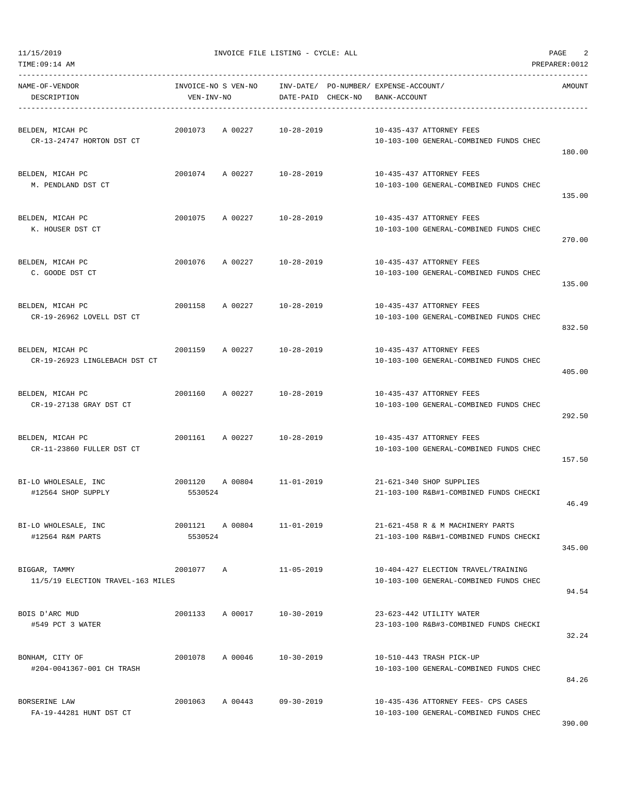TIME:09:14 AM PREPARER:0012

| NAME-OF-VENDOR<br>DESCRIPTION                      | VEN-INV-NO         |                 | DATE-PAID CHECK-NO         | INVOICE-NO S VEN-NO INV-DATE/ PO-NUMBER/ EXPENSE-ACCOUNT/<br>BANK-ACCOUNT     | AMOUNT |
|----------------------------------------------------|--------------------|-----------------|----------------------------|-------------------------------------------------------------------------------|--------|
| BELDEN, MICAH PC<br>CR-13-24747 HORTON DST CT      |                    | 2001073 A 00227 | 10-28-2019                 | 10-435-437 ATTORNEY FEES<br>10-103-100 GENERAL-COMBINED FUNDS CHEC            | 180.00 |
| BELDEN, MICAH PC<br>M. PENDLAND DST CT             |                    |                 | 2001074 A 00227 10-28-2019 | 10-435-437 ATTORNEY FEES<br>10-103-100 GENERAL-COMBINED FUNDS CHEC            | 135.00 |
| BELDEN, MICAH PC<br>K. HOUSER DST CT               | 2001075            | A 00227         | $10 - 28 - 2019$           | 10-435-437 ATTORNEY FEES<br>10-103-100 GENERAL-COMBINED FUNDS CHEC            | 270.00 |
| BELDEN, MICAH PC<br>C. GOODE DST CT                |                    |                 | 2001076 A 00227 10-28-2019 | 10-435-437 ATTORNEY FEES<br>10-103-100 GENERAL-COMBINED FUNDS CHEC            | 135.00 |
| BELDEN, MICAH PC<br>CR-19-26962 LOVELL DST CT      |                    |                 | 2001158 A 00227 10-28-2019 | 10-435-437 ATTORNEY FEES<br>10-103-100 GENERAL-COMBINED FUNDS CHEC            | 832.50 |
| BELDEN, MICAH PC<br>CR-19-26923 LINGLEBACH DST CT  |                    |                 | 2001159 A 00227 10-28-2019 | 10-435-437 ATTORNEY FEES<br>10-103-100 GENERAL-COMBINED FUNDS CHEC            | 405.00 |
| BELDEN, MICAH PC<br>CR-19-27138 GRAY DST CT        |                    |                 | 2001160 A 00227 10-28-2019 | 10-435-437 ATTORNEY FEES<br>10-103-100 GENERAL-COMBINED FUNDS CHEC            | 292.50 |
| BELDEN, MICAH PC<br>CR-11-23860 FULLER DST CT      |                    |                 | 2001161 A 00227 10-28-2019 | 10-435-437 ATTORNEY FEES<br>10-103-100 GENERAL-COMBINED FUNDS CHEC            | 157.50 |
| BI-LO WHOLESALE, INC<br>#12564 SHOP SUPPLY         | 5530524            |                 | 2001120 A 00804 11-01-2019 | 21-621-340 SHOP SUPPLIES<br>21-103-100 R&B#1-COMBINED FUNDS CHECKI            | 46.49  |
| BI-LO WHOLESALE, INC<br>#12564 R&M PARTS           | 2001121<br>5530524 | A 00804         | $11 - 01 - 2019$           | 21-621-458 R & M MACHINERY PARTS<br>21-103-100 R&B#1-COMBINED FUNDS CHECKI    | 345.00 |
| BIGGAR, TAMMY<br>11/5/19 ELECTION TRAVEL-163 MILES | 2001077 A          |                 | $11 - 05 - 2019$           | 10-404-427 ELECTION TRAVEL/TRAINING<br>10-103-100 GENERAL-COMBINED FUNDS CHEC | 94.54  |
| BOIS D'ARC MUD<br>#549 PCT 3 WATER                 | 2001133 A 00017    |                 | 10-30-2019                 | 23-623-442 UTILITY WATER<br>23-103-100 R&B#3-COMBINED FUNDS CHECKI            | 32.24  |
| BONHAM, CITY OF<br>#204-0041367-001 CH TRASH       | 2001078            | A 00046         | 10-30-2019                 | 10-510-443 TRASH PICK-UP<br>10-103-100 GENERAL-COMBINED FUNDS CHEC            | 84.26  |
| BORSERINE LAW<br>FA-19-44281 HUNT DST CT           |                    | 2001063 A 00443 | $09 - 30 - 2019$           | 10-435-436 ATTORNEY FEES- CPS CASES<br>10-103-100 GENERAL-COMBINED FUNDS CHEC |        |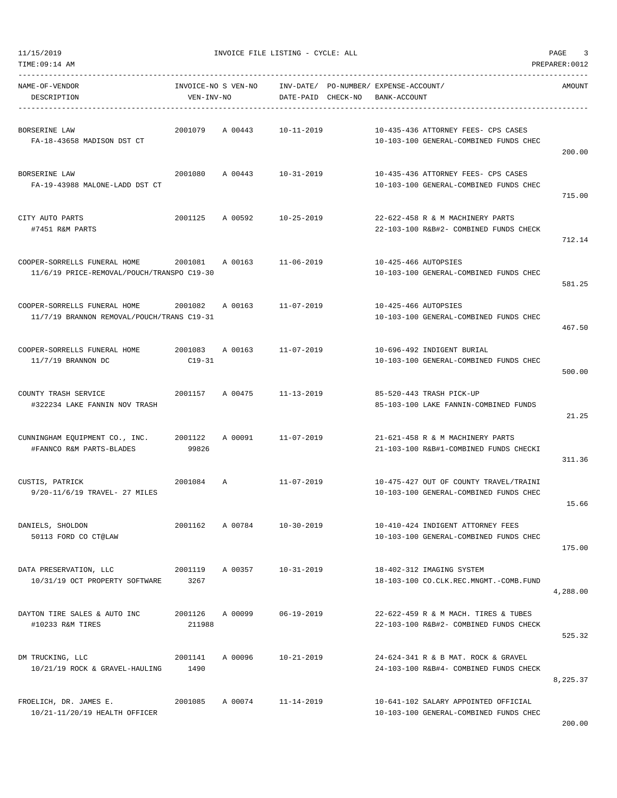| TIME:09:14 AM                                                              |                                   |         |                        |          |                                                                                  | PREPARER: 0012 |
|----------------------------------------------------------------------------|-----------------------------------|---------|------------------------|----------|----------------------------------------------------------------------------------|----------------|
| NAME-OF-VENDOR<br>DESCRIPTION                                              | INVOICE-NO S VEN-NO<br>VEN-INV-NO |         | INV-DATE/<br>DATE-PAID | CHECK-NO | PO-NUMBER / EXPENSE-ACCOUNT /<br>BANK-ACCOUNT                                    | AMOUNT         |
| BORSERINE LAW<br>FA-18-43658 MADISON DST CT                                | 2001079                           | A 00443 | $10 - 11 - 2019$       |          | 10-435-436 ATTORNEY FEES- CPS CASES<br>10-103-100 GENERAL-COMBINED FUNDS CHEC    | 200.00         |
| BORSERINE LAW<br>FA-19-43988 MALONE-LADD DST CT                            | 2001080                           | A 00443 | $10 - 31 - 2019$       |          | 10-435-436 ATTORNEY FEES- CPS CASES<br>10-103-100 GENERAL-COMBINED FUNDS CHEC    | 715.00         |
| CITY AUTO PARTS<br>#7451 R&M PARTS                                         | 2001125                           | A 00592 | $10 - 25 - 2019$       |          | 22-622-458 R & M MACHINERY PARTS<br>22-103-100 R&B#2- COMBINED FUNDS CHECK       | 712.14         |
| COOPER-SORRELLS FUNERAL HOME<br>11/6/19 PRICE-REMOVAL/POUCH/TRANSPO C19-30 | 2001081                           | A 00163 | $11 - 06 - 2019$       |          | 10-425-466 AUTOPSIES<br>10-103-100 GENERAL-COMBINED FUNDS CHEC                   | 581.25         |
| COOPER-SORRELLS FUNERAL HOME<br>11/7/19 BRANNON REMOVAL/POUCH/TRANS C19-31 | 2001082                           | A 00163 | $11 - 07 - 2019$       |          | 10-425-466 AUTOPSIES<br>10-103-100 GENERAL-COMBINED FUNDS CHEC                   | 467.50         |
| COOPER-SORRELLS FUNERAL HOME<br>$11/7/19$ BRANNON DC                       | 2001083<br>$C19-31$               | A 00163 | $11 - 07 - 2019$       |          | 10-696-492 INDIGENT BURIAL<br>10-103-100 GENERAL-COMBINED FUNDS CHEC             | 500.00         |
| COUNTY TRASH SERVICE<br>#322234 LAKE FANNIN NOV TRASH                      | 2001157                           | A 00475 | $11 - 13 - 2019$       |          | 85-520-443 TRASH PICK-UP<br>85-103-100 LAKE FANNIN-COMBINED FUNDS                | 21.25          |
| CUNNINGHAM EQUIPMENT CO., INC.<br>#FANNCO R&M PARTS-BLADES                 | 2001122<br>99826                  | A 00091 | $11 - 07 - 2019$       |          | 21-621-458 R & M MACHINERY PARTS<br>21-103-100 R&B#1-COMBINED FUNDS CHECKI       | 311.36         |
| CUSTIS, PATRICK<br>9/20-11/6/19 TRAVEL- 27 MILES                           | 2001084                           | A       | $11 - 07 - 2019$       |          | 10-475-427 OUT OF COUNTY TRAVEL/TRAINI<br>10-103-100 GENERAL-COMBINED FUNDS CHEC | 15.66          |
| DANIELS, SHOLDON<br>50113 FORD CO CT@LAW                                   | 2001162                           | A 00784 | 10-30-2019             |          | 10-410-424 INDIGENT ATTORNEY FEES<br>10-103-100 GENERAL-COMBINED FUNDS CHEC      | 175.00         |
| DATA PRESERVATION, LLC<br>10/31/19 OCT PROPERTY SOFTWARE                   | 2001119<br>3267                   | A 00357 | $10 - 31 - 2019$       |          | 18-402-312 IMAGING SYSTEM<br>18-103-100 CO.CLK.REC.MNGMT.-COMB.FUND              | 4,288.00       |
| DAYTON TIRE SALES & AUTO INC<br>#10233 R&M TIRES                           | 2001126<br>211988                 | A 00099 | 06-19-2019             |          | 22-622-459 R & M MACH. TIRES & TUBES<br>22-103-100 R&B#2- COMBINED FUNDS CHECK   | 525.32         |
| DM TRUCKING, LLC<br>10/21/19 ROCK & GRAVEL-HAULING                         | 2001141<br>1490                   | A 00096 | 10-21-2019             |          | 24-624-341 R & B MAT. ROCK & GRAVEL<br>24-103-100 R&B#4- COMBINED FUNDS CHECK    | 8,225.37       |
| FROELICH, DR. JAMES E.<br>10/21-11/20/19 HEALTH OFFICER                    | 2001085                           | A 00074 | $11 - 14 - 2019$       |          | 10-641-102 SALARY APPOINTED OFFICIAL<br>10-103-100 GENERAL-COMBINED FUNDS CHEC   |                |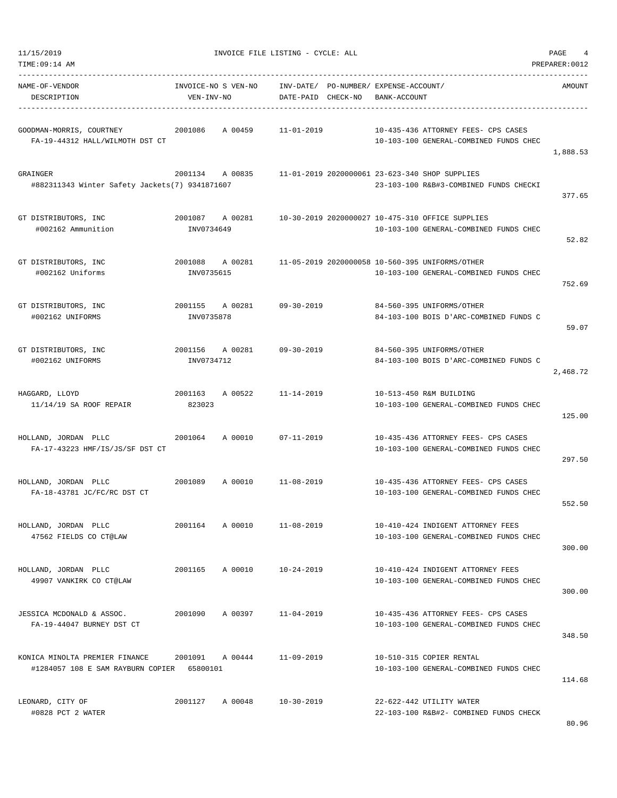| TIME:09:14 AM                                                                |                                   |                                                             |              |                                                                                            | PREPARER: 0012 |
|------------------------------------------------------------------------------|-----------------------------------|-------------------------------------------------------------|--------------|--------------------------------------------------------------------------------------------|----------------|
| NAME-OF-VENDOR<br>DESCRIPTION                                                | INVOICE-NO S VEN-NO<br>VEN-INV-NO | INV-DATE/ PO-NUMBER/ EXPENSE-ACCOUNT/<br>DATE-PAID CHECK-NO | BANK-ACCOUNT |                                                                                            | AMOUNT         |
| GOODMAN-MORRIS, COURTNEY<br>FA-19-44312 HALL/WILMOTH DST CT                  | 2001086<br>A 00459                | $11 - 01 - 2019$                                            |              | 10-435-436 ATTORNEY FEES- CPS CASES<br>10-103-100 GENERAL-COMBINED FUNDS CHEC              | 1,888.53       |
| GRAINGER<br>#882311343 Winter Safety Jackets(7) 9341871607                   | 2001134 A 00835                   |                                                             |              | 11-01-2019 2020000061 23-623-340 SHOP SUPPLIES<br>23-103-100 R&B#3-COMBINED FUNDS CHECKI   | 377.65         |
| GT DISTRIBUTORS, INC<br>#002162 Ammunition                                   | 2001087<br>A 00281<br>INV0734649  |                                                             |              | 10-30-2019 2020000027 10-475-310 OFFICE SUPPLIES<br>10-103-100 GENERAL-COMBINED FUNDS CHEC | 52.82          |
| GT DISTRIBUTORS, INC<br>#002162 Uniforms                                     | 2001088<br>A 00281<br>INV0735615  |                                                             |              | 11-05-2019 2020000058 10-560-395 UNIFORMS/OTHER<br>10-103-100 GENERAL-COMBINED FUNDS CHEC  | 752.69         |
| GT DISTRIBUTORS, INC<br>#002162 UNIFORMS                                     | 2001155 A 00281<br>INV0735878     | $09 - 30 - 2019$                                            |              | 84-560-395 UNIFORMS/OTHER<br>84-103-100 BOIS D'ARC-COMBINED FUNDS C                        | 59.07          |
| GT DISTRIBUTORS, INC<br>#002162 UNIFORMS                                     | 2001156<br>A 00281<br>INV0734712  | 09-30-2019                                                  |              | 84-560-395 UNIFORMS/OTHER<br>84-103-100 BOIS D'ARC-COMBINED FUNDS C                        | 2,468.72       |
| HAGGARD, LLOYD<br>$11/14/19$ SA ROOF REPAIR                                  | 2001163<br>A 00522<br>823023      | $11 - 14 - 2019$                                            |              | 10-513-450 R&M BUILDING<br>10-103-100 GENERAL-COMBINED FUNDS CHEC                          | 125.00         |
| HOLLAND, JORDAN PLLC<br>FA-17-43223 HMF/IS/JS/SF DST CT                      | 2001064<br>A 00010                | $07 - 11 - 2019$                                            |              | 10-435-436 ATTORNEY FEES- CPS CASES<br>10-103-100 GENERAL-COMBINED FUNDS CHEC              | 297.50         |
| HOLLAND, JORDAN PLLC<br>FA-18-43781 JC/FC/RC DST CT                          | 2001089<br>A 00010                | 11-08-2019                                                  |              | 10-435-436 ATTORNEY FEES- CPS CASES<br>10-103-100 GENERAL-COMBINED FUNDS CHEC              | 552.50         |
| HOLLAND, JORDAN PLLC<br>47562 FIELDS CO CT@LAW                               | 2001164<br>A 00010                | $11 - 08 - 2019$                                            |              | 10-410-424 INDIGENT ATTORNEY FEES<br>10-103-100 GENERAL-COMBINED FUNDS CHEC                | 300.00         |
| HOLLAND, JORDAN PLLC<br>49907 VANKIRK CO CT@LAW                              | 2001165                           | A 00010<br>$10 - 24 - 2019$                                 |              | 10-410-424 INDIGENT ATTORNEY FEES<br>10-103-100 GENERAL-COMBINED FUNDS CHEC                | 300.00         |
| JESSICA MCDONALD & ASSOC.<br>FA-19-44047 BURNEY DST CT                       | 2001090<br>A 00397                | $11 - 04 - 2019$                                            |              | 10-435-436 ATTORNEY FEES- CPS CASES<br>10-103-100 GENERAL-COMBINED FUNDS CHEC              | 348.50         |
| KONICA MINOLTA PREMIER FINANCE<br>#1284057 108 E SAM RAYBURN COPIER 65800101 | 2001091 A 00444                   | $11 - 09 - 2019$                                            |              | 10-510-315 COPIER RENTAL<br>10-103-100 GENERAL-COMBINED FUNDS CHEC                         | 114.68         |
| LEONARD, CITY OF<br>#0828 PCT 2 WATER                                        | 2001127                           | A 00048 10-30-2019                                          |              | 22-622-442 UTILITY WATER<br>22-103-100 R&B#2- COMBINED FUNDS CHECK                         | 80.96          |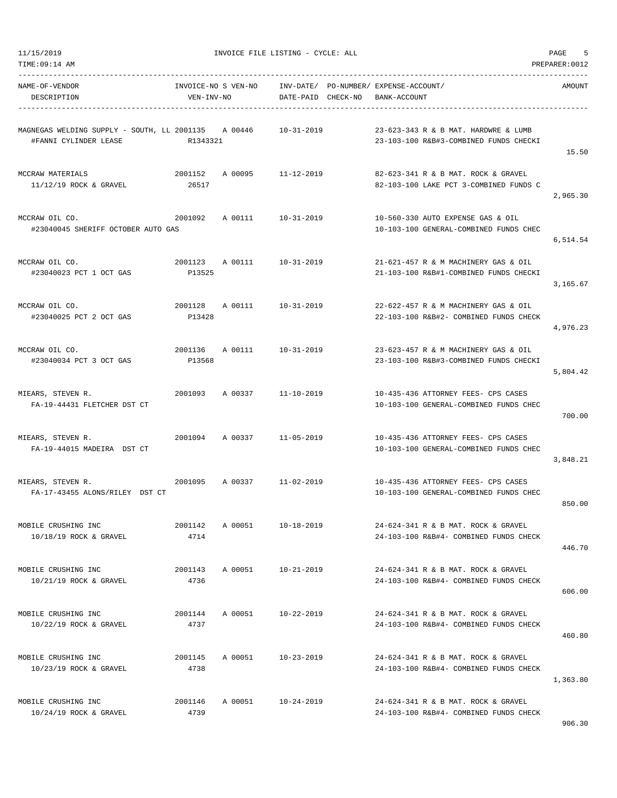11/15/2019<br>
INVOICE FILE LISTING - CYCLE: ALL<br>
THE LISTING - CYCLE: ALL

| NAME-OF-VENDOR<br>DESCRIPTION                                                | INVOICE-NO S VEN-NO<br>VEN-INV-NO |                            |                  | INV-DATE/ PO-NUMBER/ EXPENSE-ACCOUNT/<br>DATE-PAID CHECK-NO BANK-ACCOUNT |                                                                                | AMOUNT   |
|------------------------------------------------------------------------------|-----------------------------------|----------------------------|------------------|--------------------------------------------------------------------------|--------------------------------------------------------------------------------|----------|
| MAGNEGAS WELDING SUPPLY - SOUTH, LL 2001135 A 00446<br>#FANNI CYLINDER LEASE | R1343321                          |                            | $10 - 31 - 2019$ |                                                                          | 23-623-343 R & B MAT. HARDWRE & LUMB<br>23-103-100 R&B#3-COMBINED FUNDS CHECKI | 15.50    |
| MCCRAW MATERIALS<br>$11/12/19$ ROCK & GRAVEL                                 | 2001152<br>26517                  | A 00095 11-12-2019         |                  |                                                                          | 82-623-341 R & B MAT. ROCK & GRAVEL<br>82-103-100 LAKE PCT 3-COMBINED FUNDS C  | 2,965.30 |
| MCCRAW OIL CO.<br>#23040045 SHERIFF OCTOBER AUTO GAS                         |                                   | 2001092 A 00111 10-31-2019 |                  |                                                                          | 10-560-330 AUTO EXPENSE GAS & OIL<br>10-103-100 GENERAL-COMBINED FUNDS CHEC    | 6,514.54 |
| MCCRAW OIL CO.<br>#23040023 PCT 1 OCT GAS                                    | 2001123<br>P13525                 | A 00111 10-31-2019         |                  |                                                                          | 21-621-457 R & M MACHINERY GAS & OIL<br>21-103-100 R&B#1-COMBINED FUNDS CHECKI | 3,165.67 |
| MCCRAW OIL CO.<br>#23040025 PCT 2 OCT GAS                                    | 2001128<br>P13428                 | A 00111 10-31-2019         |                  |                                                                          | 22-622-457 R & M MACHINERY GAS & OIL<br>22-103-100 R&B#2- COMBINED FUNDS CHECK | 4,976.23 |
| MCCRAW OIL CO.<br>#23040034 PCT 3 OCT GAS                                    | P13568                            | 2001136 A 00111 10-31-2019 |                  |                                                                          | 23-623-457 R & M MACHINERY GAS & OIL<br>23-103-100 R&B#3-COMBINED FUNDS CHECKI | 5,804.42 |
| MIEARS, STEVEN R.<br>FA-19-44431 FLETCHER DST CT                             |                                   | 2001093 A 00337 11-10-2019 |                  |                                                                          | 10-435-436 ATTORNEY FEES- CPS CASES<br>10-103-100 GENERAL-COMBINED FUNDS CHEC  | 700.00   |
| MIEARS, STEVEN R.<br>FA-19-44015 MADEIRA DST CT                              |                                   | 2001094 A 00337 11-05-2019 |                  |                                                                          | 10-435-436 ATTORNEY FEES- CPS CASES<br>10-103-100 GENERAL-COMBINED FUNDS CHEC  | 3,848.21 |
| MIEARS, STEVEN R.<br>FA-17-43455 ALONS/RILEY DST CT                          | 2001095                           | A 00337                    | $11 - 02 - 2019$ |                                                                          | 10-435-436 ATTORNEY FEES- CPS CASES<br>10-103-100 GENERAL-COMBINED FUNDS CHEC  | 850.00   |
| MOBILE CRUSHING INC<br>10/18/19 ROCK & GRAVEL                                | 2001142<br>4714                   | A 00051                    | $10 - 18 - 2019$ |                                                                          | 24-624-341 R & B MAT. ROCK & GRAVEL<br>24-103-100 R&B#4- COMBINED FUNDS CHECK  | 446.70   |
| MOBILE CRUSHING INC<br>10/21/19 ROCK & GRAVEL                                | 2001143<br>4736                   | A 00051                    | 10-21-2019       |                                                                          | 24-624-341 R & B MAT. ROCK & GRAVEL<br>24-103-100 R&B#4- COMBINED FUNDS CHECK  | 606.00   |
| MOBILE CRUSHING INC<br>10/22/19 ROCK & GRAVEL                                | 2001144<br>4737                   | A 00051                    | 10-22-2019       |                                                                          | 24-624-341 R & B MAT. ROCK & GRAVEL<br>24-103-100 R&B#4- COMBINED FUNDS CHECK  | 460.80   |
| MOBILE CRUSHING INC<br>10/23/19 ROCK & GRAVEL                                | 2001145<br>4738                   | A 00051                    | $10 - 23 - 2019$ |                                                                          | 24-624-341 R & B MAT. ROCK & GRAVEL<br>24-103-100 R&B#4- COMBINED FUNDS CHECK  | 1,363.80 |
| MOBILE CRUSHING INC<br>10/24/19 ROCK & GRAVEL                                | 2001146<br>4739                   | A 00051                    | 10-24-2019       |                                                                          | 24-624-341 R & B MAT. ROCK & GRAVEL<br>24-103-100 R&B#4- COMBINED FUNDS CHECK  |          |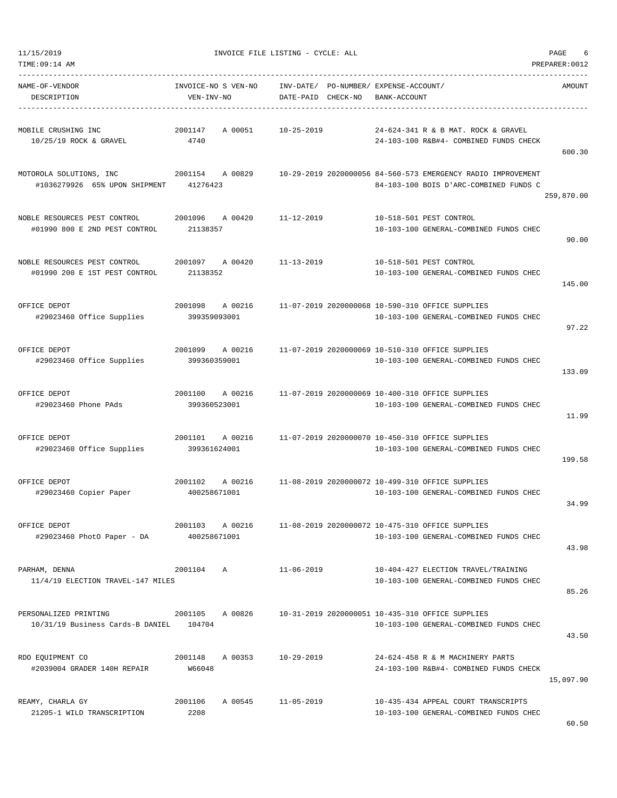| TIME:09:14 AM                                                                      |                                   |                            |                  |                                                                          |                                                                                                        | PREPARER: 0012 |
|------------------------------------------------------------------------------------|-----------------------------------|----------------------------|------------------|--------------------------------------------------------------------------|--------------------------------------------------------------------------------------------------------|----------------|
| NAME-OF-VENDOR<br>DESCRIPTION                                                      | INVOICE-NO S VEN-NO<br>VEN-INV-NO |                            |                  | INV-DATE/ PO-NUMBER/ EXPENSE-ACCOUNT/<br>DATE-PAID CHECK-NO BANK-ACCOUNT |                                                                                                        | AMOUNT         |
| MOBILE CRUSHING INC<br>10/25/19 ROCK & GRAVEL                                      | 2001147<br>4740                   | A 00051                    | $10 - 25 - 2019$ |                                                                          | 24-624-341 R & B MAT. ROCK & GRAVEL<br>24-103-100 R&B#4- COMBINED FUNDS CHECK                          | 600.30         |
| MOTOROLA SOLUTIONS, INC<br>#1036279926 65% UPON SHIPMENT 41276423                  |                                   | 2001154 A 00829            |                  |                                                                          | 10-29-2019 2020000056 84-560-573 EMERGENCY RADIO IMPROVEMENT<br>84-103-100 BOIS D'ARC-COMBINED FUNDS C | 259,870.00     |
| NOBLE RESOURCES PEST CONTROL<br>#01990 800 E 2ND PEST CONTROL                      | 21138357                          | 2001096 A 00420            | $11 - 12 - 2019$ |                                                                          | 10-518-501 PEST CONTROL<br>10-103-100 GENERAL-COMBINED FUNDS CHEC                                      | 90.00          |
| NOBLE RESOURCES PEST CONTROL<br>#01990 200 E 1ST PEST CONTROL                      | 2001097 A 00420<br>21138352       |                            | 11-13-2019       |                                                                          | 10-518-501 PEST CONTROL<br>10-103-100 GENERAL-COMBINED FUNDS CHEC                                      | 145.00         |
| OFFICE DEPOT<br>#29023460 Office Supplies 399359093001                             | 2001098                           | A 00216                    |                  |                                                                          | 11-07-2019 2020000068 10-590-310 OFFICE SUPPLIES<br>10-103-100 GENERAL-COMBINED FUNDS CHEC             | 97.22          |
| OFFICE DEPOT<br>#29023460 Office Supplies                                          | 399360359001                      | 2001099 A 00216            |                  |                                                                          | 11-07-2019 2020000069 10-510-310 OFFICE SUPPLIES<br>10-103-100 GENERAL-COMBINED FUNDS CHEC             | 133.09         |
| OFFICE DEPOT<br>#29023460 Phone PAds                                               | 399360523001                      | 2001100 A 00216            |                  |                                                                          | 11-07-2019 2020000069 10-400-310 OFFICE SUPPLIES<br>10-103-100 GENERAL-COMBINED FUNDS CHEC             | 11.99          |
| OFFICE DEPOT<br>#29023460 Office Supplies                                          | 399361624001                      | 2001101 A 00216            |                  |                                                                          | 11-07-2019 2020000070 10-450-310 OFFICE SUPPLIES<br>10-103-100 GENERAL-COMBINED FUNDS CHEC             | 199.58         |
| OFFICE DEPOT<br>#29023460 Copier Paper 400258671001                                |                                   | 2001102 A 00216            |                  |                                                                          | 11-08-2019 2020000072 10-499-310 OFFICE SUPPLIES<br>10-103-100 GENERAL-COMBINED FUNDS CHEC             | 34.99          |
| OFFICE DEPOT<br>#29023460 PhotO Paper - DA                                         | 2001103 A 00216<br>400258671001   |                            |                  |                                                                          | 11-08-2019 2020000072 10-475-310 OFFICE SUPPLIES<br>10-103-100 GENERAL-COMBINED FUNDS CHEC             | 43.98          |
| PARHAM, DENNA<br>11/4/19 ELECTION TRAVEL-147 MILES                                 | 2001104 A                         |                            | 11-06-2019       |                                                                          | 10-404-427 ELECTION TRAVEL/TRAINING<br>10-103-100 GENERAL-COMBINED FUNDS CHEC                          | 85.26          |
| PERSONALIZED PRINTING $2001105$ A 00826<br>10/31/19 Business Cards-B DANIEL 104704 |                                   |                            |                  |                                                                          | 10-31-2019 2020000051 10-435-310 OFFICE SUPPLIES<br>10-103-100 GENERAL-COMBINED FUNDS CHEC             | 43.50          |
| RDO EQUIPMENT CO<br>#2039004 GRADER 140H REPAIR W66048                             |                                   | 2001148 A 00353 10-29-2019 |                  |                                                                          | 24-624-458 R & M MACHINERY PARTS<br>24-103-100 R&B#4- COMBINED FUNDS CHECK                             | 15,097.90      |
| REAMY, CHARLA GY<br>21205-1 WILD TRANSCRIPTION                                     | 2208                              | 2001106 A 00545 11-05-2019 |                  |                                                                          | 10-435-434 APPEAL COURT TRANSCRIPTS<br>10-103-100 GENERAL-COMBINED FUNDS CHEC                          |                |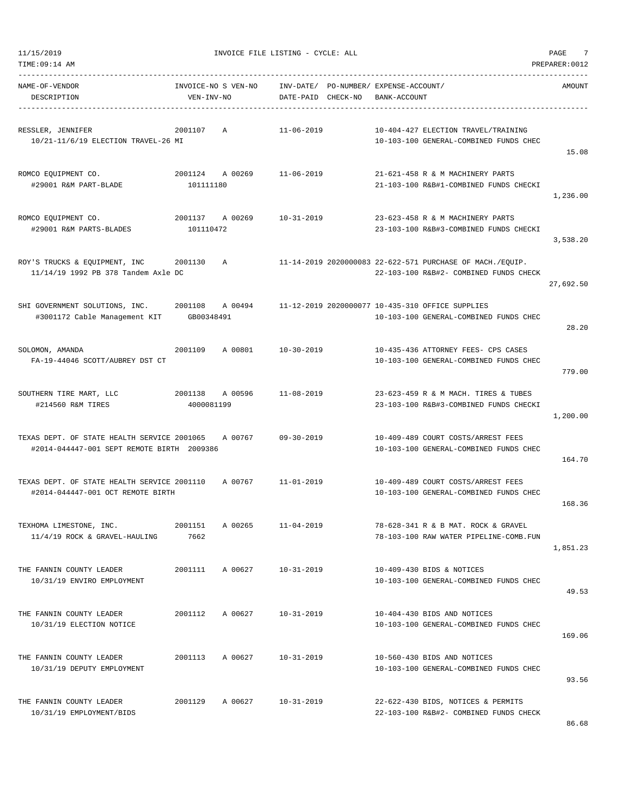|  | 11/15/2019 |  |
|--|------------|--|
|  |            |  |

| NAME-OF-VENDOR<br>DESCRIPTION                                                                                                               | VEN-INV-NO                    | INVOICE-NO S VEN-NO INV-DATE/ PO-NUMBER/ EXPENSE-ACCOUNT/ | DATE-PAID CHECK-NO | BANK-ACCOUNT |                                                                                | AMOUNT    |
|---------------------------------------------------------------------------------------------------------------------------------------------|-------------------------------|-----------------------------------------------------------|--------------------|--------------|--------------------------------------------------------------------------------|-----------|
| RESSLER, JENNIFER<br>10/21-11/6/19 ELECTION TRAVEL-26 MI                                                                                    | 2001107 A                     |                                                           | 11-06-2019         |              | 10-404-427 ELECTION TRAVEL/TRAINING<br>10-103-100 GENERAL-COMBINED FUNDS CHEC  | 15.08     |
| ROMCO EQUIPMENT CO.<br>#29001 R&M PART-BLADE                                                                                                | 101111180                     | 2001124 A 00269                                           | 11-06-2019         |              | 21-621-458 R & M MACHINERY PARTS<br>21-103-100 R&B#1-COMBINED FUNDS CHECKI     | 1,236.00  |
| ROMCO EQUIPMENT CO.<br>#29001 R&M PARTS-BLADES                                                                                              | 101110472                     | 2001137 A 00269                                           | 10-31-2019         |              | 23-623-458 R & M MACHINERY PARTS<br>23-103-100 R&B#3-COMBINED FUNDS CHECKI     | 3,538.20  |
| ROY'S TRUCKS & EQUIPMENT, INC 3001130 A 21-14-2019 2020000083 22-622-571 PURCHASE OF MACH./EQUIP.<br>11/14/19 1992 PB 378 Tandem Axle DC    |                               |                                                           |                    |              | 22-103-100 R&B#2- COMBINED FUNDS CHECK                                         | 27,692.50 |
| SHI GOVERNMENT SOLUTIONS, INC. 2001108 A 00494 11-12-2019 2020000077 10-435-310 OFFICE SUPPLIES<br>#3001172 Cable Management KIT GB00348491 |                               |                                                           |                    |              | 10-103-100 GENERAL-COMBINED FUNDS CHEC                                         | 28.20     |
| SOLOMON, AMANDA<br>FA-19-44046 SCOTT/AUBREY DST CT                                                                                          |                               | 2001109 A 00801 10-30-2019                                |                    |              | 10-435-436 ATTORNEY FEES- CPS CASES<br>10-103-100 GENERAL-COMBINED FUNDS CHEC  | 779.00    |
| SOUTHERN TIRE MART, LLC<br>#214560 R&M TIRES                                                                                                | 2001138 A 00596<br>4000081199 |                                                           | 11-08-2019         |              | 23-623-459 R & M MACH. TIRES & TUBES<br>23-103-100 R&B#3-COMBINED FUNDS CHECKI | 1,200.00  |
| TEXAS DEPT. OF STATE HEALTH SERVICE 2001065 A 00767<br>#2014-044447-001 SEPT REMOTE BIRTH 2009386                                           |                               |                                                           | 09-30-2019         |              | 10-409-489 COURT COSTS/ARREST FEES<br>10-103-100 GENERAL-COMBINED FUNDS CHEC   | 164.70    |
| TEXAS DEPT. OF STATE HEALTH SERVICE 2001110 A 00767 11-01-2019<br>#2014-044447-001 OCT REMOTE BIRTH                                         |                               |                                                           |                    |              | 10-409-489 COURT COSTS/ARREST FEES<br>10-103-100 GENERAL-COMBINED FUNDS CHEC   | 168.36    |
| TEXHOMA LIMESTONE, INC.<br>11/4/19 ROCK & GRAVEL-HAULING                                                                                    | 2001151 A 00265<br>7662       |                                                           | $11 - 04 - 2019$   |              | 78-628-341 R & B MAT. ROCK & GRAVEL<br>78-103-100 RAW WATER PIPELINE-COMB.FUN  | 1,851.23  |
| THE FANNIN COUNTY LEADER<br>10/31/19 ENVIRO EMPLOYMENT                                                                                      | 2001111                       | A 00627                                                   | 10-31-2019         |              | 10-409-430 BIDS & NOTICES<br>10-103-100 GENERAL-COMBINED FUNDS CHEC            | 49.53     |
| THE FANNIN COUNTY LEADER<br>10/31/19 ELECTION NOTICE                                                                                        | 2001112                       | A 00627                                                   | $10 - 31 - 2019$   |              | 10-404-430 BIDS AND NOTICES<br>10-103-100 GENERAL-COMBINED FUNDS CHEC          | 169.06    |
| THE FANNIN COUNTY LEADER<br>10/31/19 DEPUTY EMPLOYMENT                                                                                      | 2001113                       | A 00627                                                   | 10-31-2019         |              | 10-560-430 BIDS AND NOTICES<br>10-103-100 GENERAL-COMBINED FUNDS CHEC          | 93.56     |
| THE FANNIN COUNTY LEADER<br>10/31/19 EMPLOYMENT/BIDS                                                                                        | 2001129                       | A 00627                                                   | 10-31-2019         |              | 22-622-430 BIDS, NOTICES & PERMITS<br>22-103-100 R&B#2- COMBINED FUNDS CHECK   |           |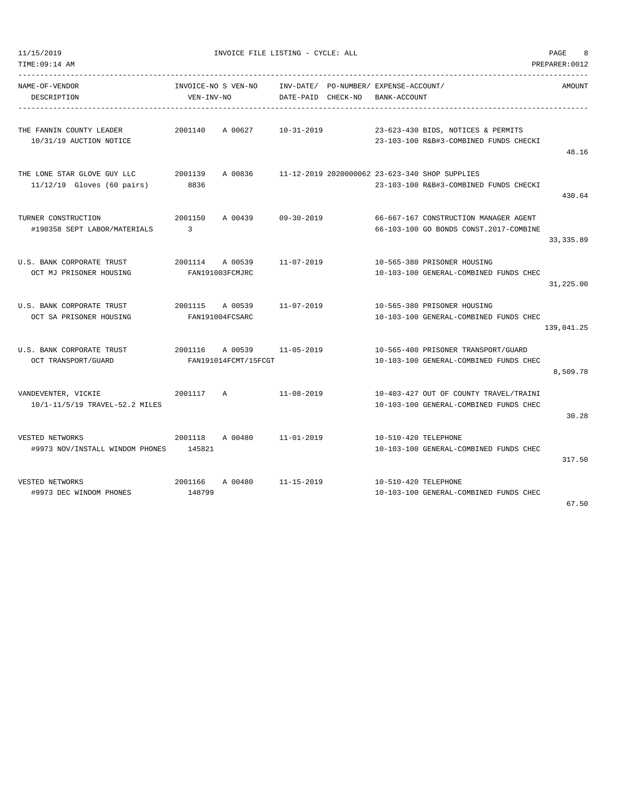| TIME: 09:14 AM                                              |                                   |                                 |                                 |                                             |                                                                                          | PREPARER: 0012 |
|-------------------------------------------------------------|-----------------------------------|---------------------------------|---------------------------------|---------------------------------------------|------------------------------------------------------------------------------------------|----------------|
| NAME-OF-VENDOR<br>DESCRIPTION                               | INVOICE-NO S VEN-NO<br>VEN-INV-NO |                                 | INV-DATE/<br>DATE-PAID CHECK-NO | PO-NUMBER/ EXPENSE-ACCOUNT/<br>BANK-ACCOUNT |                                                                                          | AMOUNT         |
| THE FANNIN COUNTY LEADER<br>10/31/19 AUCTION NOTICE         | 2001140                           | A 00627                         | $10 - 31 - 2019$                |                                             | 23-623-430 BIDS, NOTICES & PERMITS<br>23-103-100 R&B#3-COMBINED FUNDS CHECKI             | 48.16          |
| THE LONE STAR GLOVE GUY LLC<br>$11/12/19$ Gloves (60 pairs) | 2001139<br>8836                   | A 00836                         |                                 |                                             | 11-12-2019 2020000062 23-623-340 SHOP SUPPLIES<br>23-103-100 R&B#3-COMBINED FUNDS CHECKI | 430.64         |
| TURNER CONSTRUCTION<br>#190358 SEPT LABOR/MATERIALS         | 2001150<br>3                      | A 00439                         | $09 - 30 - 2019$                |                                             | 66-667-167 CONSTRUCTION MANAGER AGENT<br>66-103-100 GO BONDS CONST.2017-COMBINE          | 33, 335.89     |
| U.S. BANK CORPORATE TRUST<br>OCT MJ PRISONER HOUSING        | 2001114                           | A 00539<br>FAN191003FCMJRC      | $11 - 07 - 2019$                |                                             | 10-565-380 PRISONER HOUSING<br>10-103-100 GENERAL-COMBINED FUNDS CHEC                    | 31,225.00      |
| U.S. BANK CORPORATE TRUST<br>OCT SA PRISONER HOUSING        | 2001115                           | A 00539<br>FAN191004FCSARC      | $11 - 07 - 2019$                |                                             | 10-565-380 PRISONER HOUSING<br>10-103-100 GENERAL-COMBINED FUNDS CHEC                    | 139,041.25     |
| U.S. BANK CORPORATE TRUST<br>OCT TRANSPORT/GUARD            | 2001116                           | A 00539<br>FAN191014FCMT/15FCGT | $11 - 05 - 2019$                |                                             | 10-565-400 PRISONER TRANSPORT/GUARD<br>10-103-100 GENERAL-COMBINED FUNDS CHEC            | 8,509.78       |
| VANDEVENTER, VICKIE<br>10/1-11/5/19 TRAVEL-52.2 MILES       | 2001117                           | Α                               | $11 - 08 - 2019$                |                                             | 10-403-427 OUT OF COUNTY TRAVEL/TRAINI<br>10-103-100 GENERAL-COMBINED FUNDS CHEC         | 30.28          |
| VESTED NETWORKS<br>#9973 NOV/INSTALL WINDOM PHONES          | 2001118<br>145821                 | A 00480                         | $11 - 01 - 2019$                | 10-510-420 TELEPHONE                        | 10-103-100 GENERAL-COMBINED FUNDS CHEC                                                   | 317.50         |
| VESTED NETWORKS<br>#9973 DEC WINDOM PHONES                  | 2001166<br>148799                 | A 00480                         | $11 - 15 - 2019$                | 10-510-420 TELEPHONE                        | 10-103-100 GENERAL-COMBINED FUNDS CHEC                                                   | 67.50          |